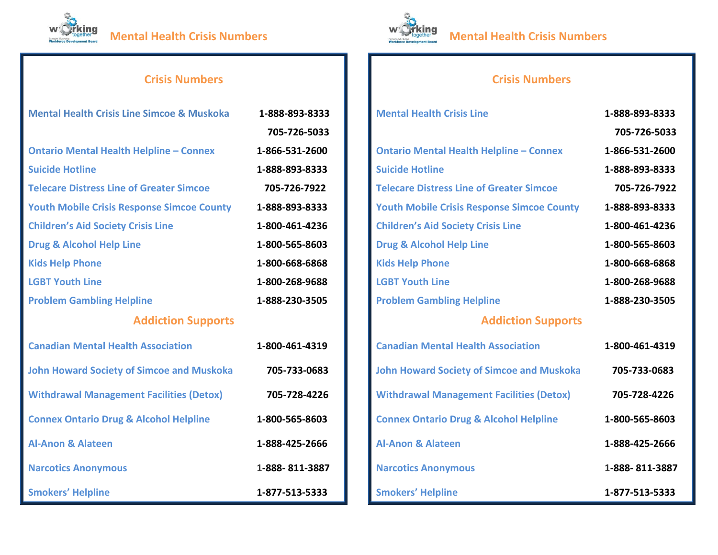



## **Crisis Numbers**

| <b>Mental Health Crisis Line</b>                  | 1-888-893-8333 |
|---------------------------------------------------|----------------|
|                                                   | 705-726-5033   |
| <b>Ontario Mental Health Helpline - Connex</b>    | 1-866-531-2600 |
| <b>Suicide Hotline</b>                            | 1-888-893-8333 |
| <b>Telecare Distress Line of Greater Simcoe</b>   | 705-726-7922   |
| <b>Youth Mobile Crisis Response Simcoe County</b> | 1-888-893-8333 |
| <b>Children's Aid Society Crisis Line</b>         | 1-800-461-4236 |
| <b>Drug &amp; Alcohol Help Line</b>               | 1-800-565-8603 |
| <b>Kids Help Phone</b>                            | 1-800-668-6868 |
| <b>LGBT Youth Line</b>                            | 1-800-268-9688 |
| <b>Problem Gambling Helpline</b>                  | 1-888-230-3505 |
| <b>Addiction Supports</b>                         |                |
| <b>Canadian Mental Health Association</b>         | 1-800-461-4319 |
| <b>John Howard Society of Simcoe and Muskoka</b>  | 705-733-0683   |
| <b>Withdrawal Management Facilities (Detox)</b>   | 705-728-4226   |
| <b>Connex Ontario Drug &amp; Alcohol Helpline</b> | 1-800-565-8603 |
| <b>Al-Anon &amp; Alateen</b>                      | 1-888-425-2666 |
| <b>Narcotics Anonymous</b>                        | 1-888-811-3887 |
| <b>Smokers' Helpline</b>                          | 1-877-513-5333 |

## **Crisis Numbers**

| <b>Mental Health Crisis Line Simcoe &amp; Muskoka</b> | 1-888-893-8333 |
|-------------------------------------------------------|----------------|
|                                                       | 705-726-5033   |
| <b>Ontario Mental Health Helpline - Connex</b>        | 1-866-531-2600 |
| <b>Suicide Hotline</b>                                | 1-888-893-8333 |
| <b>Telecare Distress Line of Greater Simcoe</b>       | 705-726-7922   |
| <b>Youth Mobile Crisis Response Simcoe County</b>     | 1-888-893-8333 |
| <b>Children's Aid Society Crisis Line</b>             | 1-800-461-4236 |
| <b>Drug &amp; Alcohol Help Line</b>                   | 1-800-565-8603 |
| <b>Kids Help Phone</b>                                | 1-800-668-6868 |
| <b>LGBT Youth Line</b>                                | 1-800-268-9688 |
| <b>Problem Gambling Helpline</b>                      | 1-888-230-3505 |
| <b>Addiction Supports</b>                             |                |
| <b>Canadian Mental Health Association</b>             | 1-800-461-4319 |
| <b>John Howard Society of Simcoe and Muskoka</b>      | 705-733-0683   |
| <b>Withdrawal Management Facilities (Detox)</b>       | 705-728-4226   |
| <b>Connex Ontario Drug &amp; Alcohol Helpline</b>     | 1-800-565-8603 |
| <b>Al-Anon &amp; Alateen</b>                          | 1-888-425-2666 |
| <b>Narcotics Anonymous</b>                            | 1-888-811-3887 |
| <b>Smokers' Helpline</b>                              | 1-877-513-5333 |